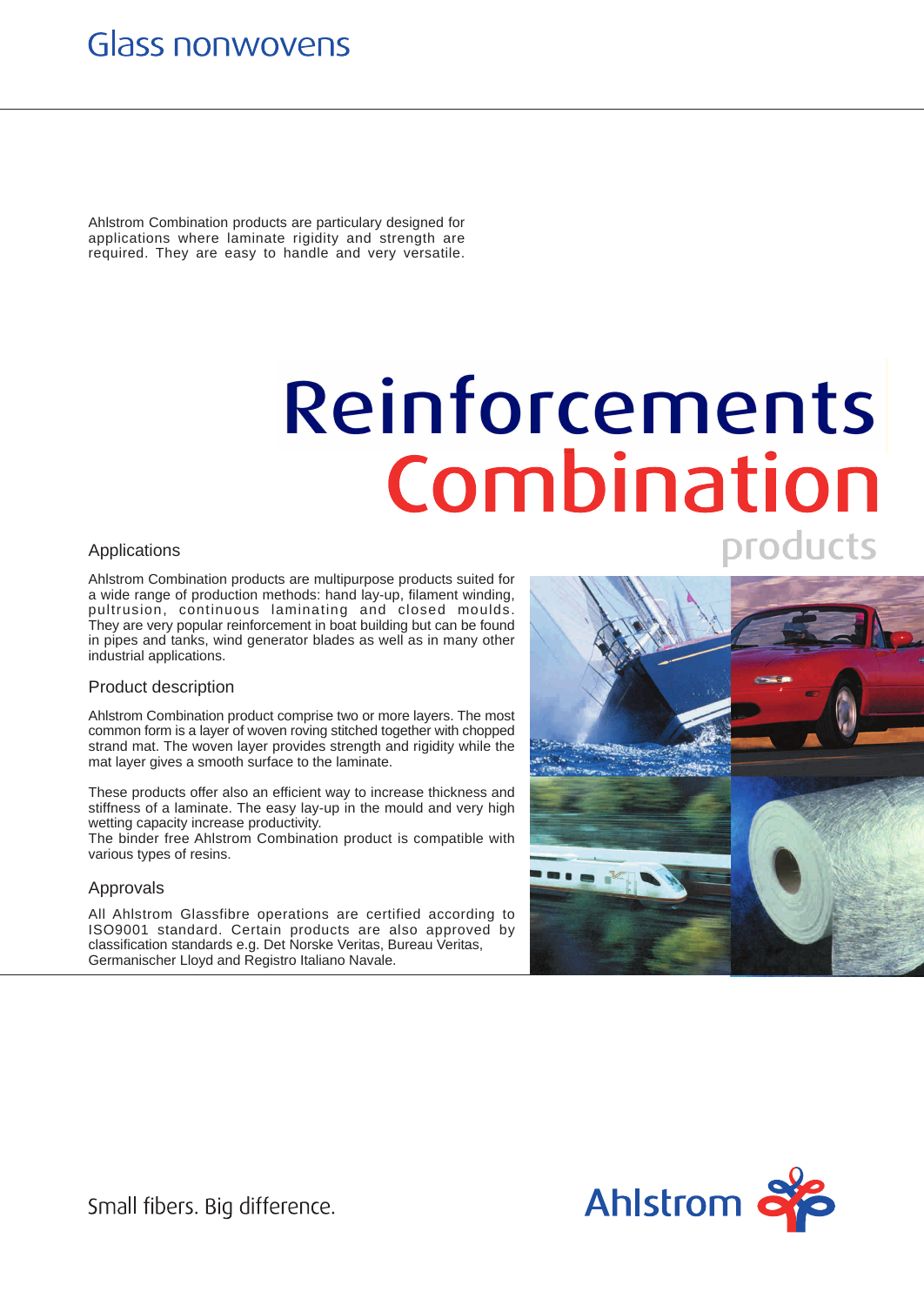# **Glass nonwovens**

Ahlstrom Combination products are particulary designed for applications where laminate rigidity and strength are required. They are easy to handle and very versatile.

# Reinforcements Combination products

## Applications

Ahlstrom Combination products are multipurpose products suited for a wide range of production methods: hand lay-up, filament winding, pultrusion, continuous laminating and closed moulds. They are very popular reinforcement in boat building but can be found in pipes and tanks, wind generator blades as well as in many other industrial applications.

### Product description

Ahlstrom Combination product comprise two or more layers. The most common form is a layer of woven roving stitched together with chopped strand mat. The woven layer provides strength and rigidity while the mat layer gives a smooth surface to the laminate.

These products offer also an efficient way to increase thickness and stiffness of a laminate. The easy lay-up in the mould and very high wetting capacity increase productivity.

The binder free Ahlstrom Combination product is compatible with various types of resins.

### Approvals

All Ahlstrom Glassfibre operations are certified according to ISO9001 standard. Certain products are also approved by classification standards e.g. Det Norske Veritas, Bureau Veritas, Germanischer Lloyd and Registro Italiano Navale.





Small fibers. Big difference.